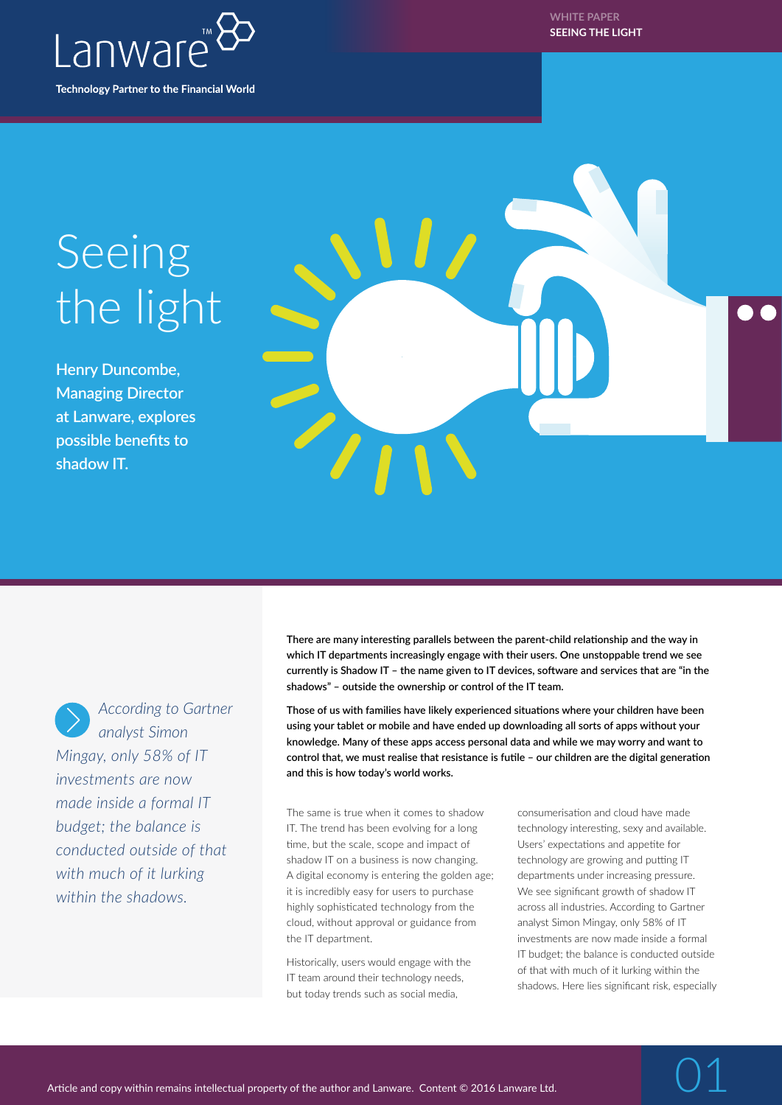

**WHITE PAPER SEEING THE LIGHT**

## Seeing the light

**Henry Duncombe, Managing Director at Lanware, explores possible benefits to shadow IT.**





*According to Gartner analyst Simon Mingay, only 58% of IT investments are now made inside a formal IT budget; the balance is conducted outside of that with much of it lurking* 

*within the shadows.* 

**There are many interesting parallels between the parent-child relationship and the way in which IT departments increasingly engage with their users. One unstoppable trend we see currently is Shadow IT – the name given to IT devices, software and services that are "in the shadows" – outside the ownership or control of the IT team.**

**Those of us with families have likely experienced situations where your children have been using your tablet or mobile and have ended up downloading all sorts of apps without your knowledge. Many of these apps access personal data and while we may worry and want to control that, we must realise that resistance is futile – our children are the digital generation and this is how today's world works.**

The same is true when it comes to shadow IT. The trend has been evolving for a long time, but the scale, scope and impact of shadow IT on a business is now changing. A digital economy is entering the golden age; it is incredibly easy for users to purchase highly sophisticated technology from the cloud, without approval or guidance from the IT department.

Historically, users would engage with the IT team around their technology needs, but today trends such as social media,

consumerisation and cloud have made technology interesting, sexy and available. Users' expectations and appetite for technology are growing and putting IT departments under increasing pressure. We see significant growth of shadow IT across all industries. According to Gartner analyst Simon Mingay, only 58% of IT investments are now made inside a formal IT budget; the balance is conducted outside of that with much of it lurking within the shadows. Here lies significant risk, especially

01